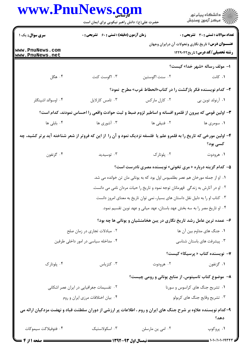|                                          | www.PnuNews.com<br>حضرت علی(ع): دانش راهبر نیکویی برای ایمان است                  |                                                                                                                      | ڪ دانشڪاه پيام نور<br>پ <sup>ر</sup> مرڪز آزمون وسنڊش     |  |
|------------------------------------------|-----------------------------------------------------------------------------------|----------------------------------------------------------------------------------------------------------------------|-----------------------------------------------------------|--|
| <b>سری سوال :</b> یک ۱                   | زمان آزمون (دقیقه) : تستی : ۶۰٪ تشریحی : ۰                                        |                                                                                                                      | <b>تعداد سوالات : تستی : 30 ٪ تشریحی : 0</b>              |  |
|                                          |                                                                                   |                                                                                                                      | <b>عنـــوان درس:</b> تاریخ نگاری وتحولات آن درایران وجهان |  |
| www.PnuNews.com<br>www.PnuNews.net       |                                                                                   |                                                                                                                      | <b>رشته تحصیلی/کد درس:</b> تاریخ1۲۲۹۰۴۲                   |  |
|                                          |                                                                                   |                                                                                                                      | ۱- مولف رساله «شهر خدا» کیست؟                             |  |
| ۰۴ هگل                                   | ۰۳ اگوست کنت                                                                      | ۰۲ سنت اگوستين                                                                                                       | ۰۱ کانت                                                   |  |
|                                          |                                                                                   | ۲- کدام نویسنده فکر بازگشت را در کتاب«انحطاط غرب» مطرح  نمود؟                                                        |                                                           |  |
| ۰۴ اوسوالد اشپنگلر                       | ۰۳ تامس کارلایل                                                                   | ۰۲ کارل مارکس                                                                                                        | ۰۱ آرنولد توين بي                                         |  |
|                                          |                                                                                   | ۳- اولین قومی که بیرون از قلمرو افسانه و اساطیر لزوم ضبط و ثبت حوادث واقعی را احساس نمودند، کدام است؟                |                                                           |  |
| ۰۴ بابلی ها                              | ۰۳ آشوری ها                                                                       | ۰۲ فنیقی ها                                                                                                          | ۰۱ سومری ها                                               |  |
|                                          |                                                                                   | ۴- اولین مورخی که تاریخ را به قلمرو علم یا ًفلسفه نزدیک نمود و آن را از این که فروتر از شعر شناخته آید برتر کشید، چه |                                                           |  |
|                                          |                                                                                   |                                                                                                                      | کسی بود؟                                                  |  |
| ۰۴ گزنفون                                | ۰۳ توسیدید                                                                        | ۰۲ پلوتارک                                                                                                           | ۰۱ هرودوت                                                 |  |
|                                          | ۵– کدام گزینه درباره « مری تخونی» نویسنده مصری نادرست است؟                        |                                                                                                                      |                                                           |  |
|                                          | ۰۱ او از جمله مورخان هم عصر بطلمیوس اول بود که به یونانی مان تن خوانده می شد.     |                                                                                                                      |                                                           |  |
|                                          | ۰۲ او در آثارش به زندگی ِ قهرمانان توجه نمود و تاریخ را حیات مردان نامی می دانست. |                                                                                                                      |                                                           |  |
|                                          |                                                                                   | ۰۳ کتاب او را به دلیل نقل داستان های بسیار، نمی توان تاریخ به معنای امروز دانست                                      |                                                           |  |
|                                          |                                                                                   | ۰۴ او تاریخ مصر را به سه بخش عهد باستان، عهد میانی و عهد نوین تقسیم نمود.                                            |                                                           |  |
|                                          |                                                                                   | ۶– عمده ترین عامل رشد تاریخ نگاری در یبن هخامنشیان و یونانی ها چه بود؟                                               |                                                           |  |
| ۰۲ مبادلات تجاری در زمان صلح             |                                                                                   | ۰۱ جنگ های مداوم بین آن ها                                                                                           |                                                           |  |
| ۰۴ مداخله سیاسی در امور داخلی طرفین      |                                                                                   |                                                                                                                      | ۰۳ پیشرفت های باستان شناسی                                |  |
|                                          |                                                                                   |                                                                                                                      | ۷– نویسنده کتاب « پرسیکا» کیست؟                           |  |
| ۰۴ پلوتارک                               | ۰۳ کتزیاس                                                                         | ۰۲ هرودوت                                                                                                            | ۰۱ گزنفون                                                 |  |
|                                          |                                                                                   | ۸– موضوع کتاب تاسیتوس، از منابع یونانی و رومی چیست؟                                                                  |                                                           |  |
| ۰۲ تقسیمات جغرافیایی در ایران عصر اشکانی |                                                                                   | ٠١ تشريح جنگ های كراسوس و سورنا                                                                                      |                                                           |  |
| ۰۴ بیان اختلافات مرزی ایران و روم        |                                                                                   |                                                                                                                      | ۰۳ تشریح وقایع جنگ های کربولو                             |  |
|                                          |                                                                                   | ۹–کدام نویسنده علاوه بر شرح جنگ های ایران و روم ، اطلاعات پر ارزشی از دوران سلطنت قباد و نهضت مزدکیان ارائه می       | دهد؟                                                      |  |
| ۰۴ فئوفيلاكت سيموكات                     | ۰۳ اسکولاستیک                                                                     | ۰۲ امی ین مارسلن                                                                                                     | ۰۱ پروکوپ                                                 |  |

1 . 1 . / 1 . 1 . 1 9 3

**= نیمسال اول ۹۳-۱۳۹۲ <del>=</del>** 

صفحه 1 از 4 =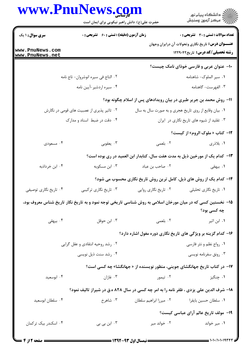|                                    | www.PnuNews.com<br>حضرت علی(ع): دانش راهبر نیکویی برای ایمان است                                            |                                                      |                                                                                                      |
|------------------------------------|-------------------------------------------------------------------------------------------------------------|------------------------------------------------------|------------------------------------------------------------------------------------------------------|
| <b>سری سوال : ۱ یک</b>             | <b>زمان آزمون (دقیقه) : تستی : 60 ٪ تشریحی : 0</b>                                                          |                                                      | تعداد سوالات : تستي : 30 ٪ تشريحي : 0                                                                |
| www.PnuNews.com<br>www.PnuNews.net |                                                                                                             |                                                      | <b>عنـــوان درس:</b> تاریخ نگاری وتحولات آن درایران وجهان<br><b>رشته تحصیلی/کد درس:</b> تاریخ1۲۲۹۰۴۲ |
|                                    |                                                                                                             |                                                      | ۱۰– عنوان عربی و فارسی خوذای نامک چیست؟                                                              |
|                                    | ۰۲ التاج في سيره انوشروان- تاج نامه                                                                         |                                                      | ۰۱ سیر الملوک- شاهنامه                                                                               |
|                                    | ۰۴ سیره اردشیر-آیین نامه                                                                                    |                                                      | ۰۳ الفهرست- گاهنامه                                                                                  |
|                                    |                                                                                                             |                                                      | 11- روش محمد بن جریر طبری در بیان رویدادهای پس از اسلام چگونه بود؟                                   |
|                                    | ۲.  تاثیر پذیری از عصبیت های قومی در نگارش                                                                  | ۰۱ بیان وقایع از روی تاریخ هجری و به صورت سال به سال |                                                                                                      |
|                                    | ۰۴ دقت در ضبط اسناد و مدارک                                                                                 |                                                      | ۰۳ تقلید از شیوه های تاریخ نگاری در ایران                                                            |
|                                    |                                                                                                             |                                                      | 1۲- کتاب « ملوک الروم» از کیست؟                                                                      |
| ۴. مسعودی                          | ۰۳ يعقوبي                                                                                                   | ۰۲ بلعمی                                             | ۱. بلاذری                                                                                            |
|                                    |                                                                                                             |                                                      | ۱۳– کدام یک از مورخین ذیل به مدت هفت سال، کتابدار ابن العمید در ری بوده است؟                         |
| ۰۴ ابن خرداذبه                     | ۰۳ ابن مسکویه                                                                                               | ۰۲ صاحب بن عباد                                      | ۰۱ بیهقی                                                                                             |
|                                    |                                                                                                             |                                                      | ۱۴- کدام یک از روش های ذیل، کامل ترین روش تاریخ نگاری محسوب می شود؟                                  |
| ۰۴ تاریخ نگاری توصیفی              | ۰۱ تاریخ نگاری تحلیلی سمسم ۲۰ تاریخ نگاری روایی مسمع ۲۰ تاریخ نگاری ترکیبی (                                |                                                      |                                                                                                      |
|                                    | ۱۵– نخستین کسی که در میان مورخان اسلامی به روش شناسی تاریخی توجه نمود و به تاریخ نگار تاریخ شناس معروف بود، |                                                      |                                                                                                      |
|                                    |                                                                                                             |                                                      | چه کسی بود؟                                                                                          |
| ۴. بیهقی                           | ۰۳ ابن حوقل                                                                                                 | ٢. بلعمى                                             | ۰۱ ابن اثیر                                                                                          |
|                                    |                                                                                                             |                                                      | ۱۶- کدام گزینه بر ویژگی های تاریخ نگاری دوره مغول اشاره دارد؟                                        |
|                                    | ۰۲ رشد روحیه انتقادی و عقل گرایی                                                                            |                                                      | ۰۱ رواج نظم و نثر فارسی                                                                              |
|                                    | ۰۴ رشد سنت ذیل نویسی                                                                                        |                                                      | ۰۳ رونق سفرنامه نویسی                                                                                |
|                                    |                                                                                                             |                                                      | ۱۷- در کتاب تاریخ جهانگشای جوینی، منظور نویسنده از « جهانگشا» چه کسی است؟                            |
| ۰۴ ابوسعید                         | ۰۳ غازان                                                                                                    | ۰۲ تیمور                                             | ۰۱ چنگیز                                                                                             |
|                                    | ۱۸- شرف الدین علی یزدی ، ظفر نامه را به امر چه کسی در سال ۸۲۸ ه.ق در شیراز تالیف نمود؟                      |                                                      |                                                                                                      |
| ۰۴ سلطان ابوسعيد                   | ۰۳ شاهرخ                                                                                                    | ٠١ سلطان حسين بايقرا مسمع ٢٠ ميرزا ابراهيم سلطان     |                                                                                                      |
|                                    |                                                                                                             |                                                      | <b>۱۹</b> - مولف تاریخ عالم آرای عباسی کیست؟                                                         |
| ۰۴ اسکندر بیک ترکمان               | ۰۳ ابن بی بی                                                                                                | ۰۲ خواند میر                                         | ۰۱ میر خواند                                                                                         |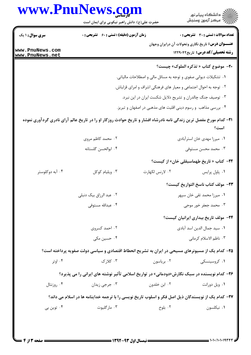|                        | www.PnuNews.com                                                                                                                      |                                                               | ڪ دانشڪاه پيا <sub>م</sub> نور<br>∕ <sup>7</sup> مرڪز آزمون وسنڊش                                    |  |
|------------------------|--------------------------------------------------------------------------------------------------------------------------------------|---------------------------------------------------------------|------------------------------------------------------------------------------------------------------|--|
|                        | حضرت علی(ع): دانش راهبر نیکویی برای ایمان است                                                                                        |                                                               |                                                                                                      |  |
| <b>سری سوال : ۱ یک</b> | زمان آزمون (دقیقه) : تستی : 60 ٪ تشریحی : 0                                                                                          |                                                               | تعداد سوالات : تستى : 30 ٪ تشريحي : 0                                                                |  |
| www.PnuNews.com        |                                                                                                                                      |                                                               | <b>عنـــوان درس:</b> تاریخ نگاری وتحولات آن درایران وجهان<br><b>رشته تحصیلی/کد درس:</b> تاریخ1۲۲۹۰۴۲ |  |
| www.PnuNews.net        |                                                                                                                                      |                                                               |                                                                                                      |  |
|                        |                                                                                                                                      |                                                               | <b>٢٠</b> - موضوع كتاب « تذكره الملوك» چيست؟                                                         |  |
|                        | ۰۱ تشکیلات دیوانی صفوی و توجه به مسائل مالی و اصطلاحات مالیاتی.<br>۰۲ توجه به احوال اجتماعی و معیار های فرهنگی اشراف و امرای قزلباش. |                                                               |                                                                                                      |  |
|                        | ۰۳ توصیف جنگ چالدران و تشریح دلایل شکست ایران در این نبرد.                                                                           |                                                               |                                                                                                      |  |
|                        |                                                                                                                                      | ۰۴ بررسی مذاهب و رسوم دینی اقلیت های مذهبی در اصفهان و تبریز. |                                                                                                      |  |
|                        | <b>۳۱</b> – کدام مورخ مفصل ترین زندگی نامه نادرشاه افشار و تاریخ حوادث روزگار او را در تاریخ عالم آرای نادری گردآوری نموده           |                                                               |                                                                                                      |  |
|                        |                                                                                                                                      |                                                               | است؟                                                                                                 |  |
|                        | ۲. محمد کاظم مروی                                                                                                                    |                                                               | ۰۱ میرزا مهدی خان استرآبادی                                                                          |  |
|                        | ۰۴ ابوالحسن گلستانه                                                                                                                  |                                                               | ۰۳ محمد محسن مستوفى                                                                                  |  |
|                        |                                                                                                                                      |                                                               | <b>۲۲</b> – کتاب « تاریخ طهماسبقلی خان» از کیست؟                                                     |  |
| ۰۴ آبه دوکلوستر        | ۰۳ ویلیام کوکل                                                                                                                       | ۰۲ لارنس لکهارت                                               | ٠١ پاول پرايس                                                                                        |  |
|                        |                                                                                                                                      |                                                               | ٢٣– مولف كتاب ناسخ التواريخ كيست؟                                                                    |  |
|                        | ۰۲ عبد الرزاق بیک دنبلی                                                                                                              |                                                               | ۰۱ میرزا محمد تقی خان سپهر                                                                           |  |
|                        | ۰۴ عبدالله مستوفى                                                                                                                    |                                                               | ۰۳ محمد جعفر خور موجی                                                                                |  |
|                        |                                                                                                                                      |                                                               | <b>۲۴</b> – مولف تاریخ بیداری ایرانیان کیست؟                                                         |  |
|                        | ۰۲ احمد کسروی                                                                                                                        |                                                               | ٠١. سيد جمال الدين اسد آبادي                                                                         |  |
|                        | ۰۴ حسین مکی                                                                                                                          |                                                               | ٠٣ ناظم الاسلام كرماني                                                                               |  |
|                        | ۲۵– کدام یک از مسیونرهای مسیحی در ایران به تشریح انحطاط اقتصادی و سیاسی دولت صفویه پرداخته است؟                                      |                                                               |                                                                                                      |  |
| ۰۴ اوتر                | ۰۳ کلا, ک                                                                                                                            | ۰۲ بریاسون                                                    | ۰۱ کروسینسکی                                                                                         |  |
|                        | <b>۲۶</b> - کدام نویسنده در سبک نگارش«دودمانی» در تواریخ اسلامی تأثیر نوشته های ایرانی را می پذیرد؟                                  |                                                               |                                                                                                      |  |
| ۰۴ روزنتال             | ۰۳ جرجي زيدان                                                                                                                        | ۰۲ ابن خلدون                                                  | ۰۱ ویل دورانت                                                                                        |  |
|                        | ۲۷– کدام یک از نویسندگان ذیل اصل فکر و اسلوب تاریخ نویسی را با ترجمه خداینامه ها در اسلام می داند؟                                   |                                                               |                                                                                                      |  |
| ۰۴ توین بی             | ۰۳ مارگليوت                                                                                                                          | ۰۲ بلوخ                                                       | ٠١ نيکلسون                                                                                           |  |